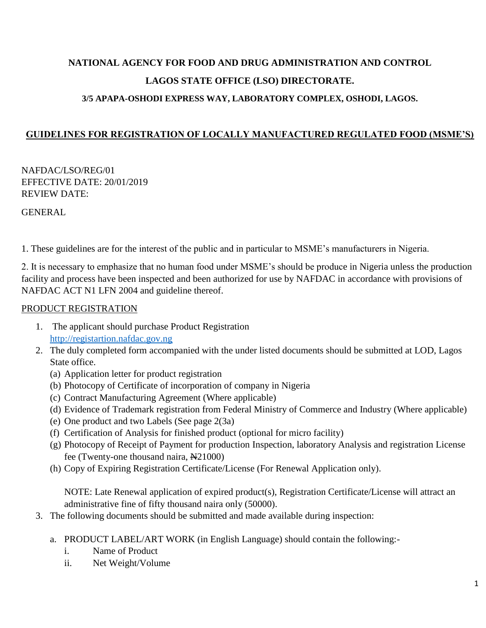# **NATIONAL AGENCY FOR FOOD AND DRUG ADMINISTRATION AND CONTROL LAGOS STATE OFFICE (LSO) DIRECTORATE. 3/5 APAPA-OSHODI EXPRESS WAY, LABORATORY COMPLEX, OSHODI, LAGOS.**

# **GUIDELINES FOR REGISTRATION OF LOCALLY MANUFACTURED REGULATED FOOD (MSME'S)**

NAFDAC/LSO/REG/01 EFFECTIVE DATE: 20/01/2019 REVIEW DATE:

GENERAL

1. These guidelines are for the interest of the public and in particular to MSME's manufacturers in Nigeria.

2. It is necessary to emphasize that no human food under MSME's should be produce in Nigeria unless the production facility and process have been inspected and been authorized for use by NAFDAC in accordance with provisions of NAFDAC ACT N1 LFN 2004 and guideline thereof.

## PRODUCT REGISTRATION

- 1. The applicant should purchase Product Registration [http://registartion.nafdac.gov.ng](http://registartion.nafdac.gov.ng/)
- 2. The duly completed form accompanied with the under listed documents should be submitted at LOD, Lagos State office.
	- (a) Application letter for product registration
	- (b) Photocopy of Certificate of incorporation of company in Nigeria
	- (c) Contract Manufacturing Agreement (Where applicable)
	- (d) Evidence of Trademark registration from Federal Ministry of Commerce and Industry (Where applicable)
	- (e) One product and two Labels (See page 2(3a)
	- (f) Certification of Analysis for finished product (optional for micro facility)
	- (g) Photocopy of Receipt of Payment for production Inspection, laboratory Analysis and registration License fee (Twenty-one thousand naira,  $\overline{N}$ 21000)
	- (h) Copy of Expiring Registration Certificate/License (For Renewal Application only).

NOTE: Late Renewal application of expired product(s), Registration Certificate/License will attract an administrative fine of fifty thousand naira only (50000).

- 3. The following documents should be submitted and made available during inspection:
	- a. PRODUCT LABEL/ART WORK (in English Language) should contain the following:
		- i. Name of Product
		- ii. Net Weight/Volume